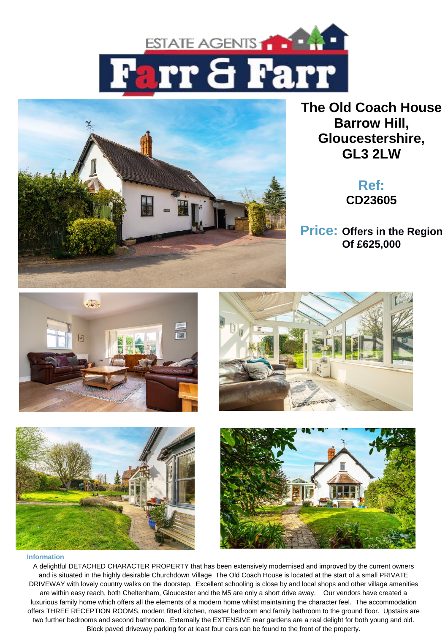



**The Old Coach House Barrow Hill, Gloucestershire, GL3 2LW**

# **Ref: CD23605**

**Price: Offers in the Region Of £625,000**









# **Information**

A delightful DETACHED CHARACTER PROPERTY that has been extensively modernised and improved by the current owners and is situated in the highly desirable Churchdown Village The Old Coach House is located at the start of a small PRIVATE DRIVEWAY with lovely country walks on the doorstep. Excellent schooling is close by and local shops and other village amenities are within easy reach, both Cheltenham, Gloucester and the M5 are only a short drive away. Our vendors have created a luxurious family home which offers all the elements of a modern home whilst maintaining the character feel. The accommodation offers THREE RECEPTION ROOMS, modern fitted kitchen, master bedroom and family bathroom to the ground floor. Upstairs are two further bedrooms and second bathroom. Externally the EXTENSIVE rear gardens are a real delight for both young and old. Block paved driveway parking for at least four cars can be found to the front of the property.